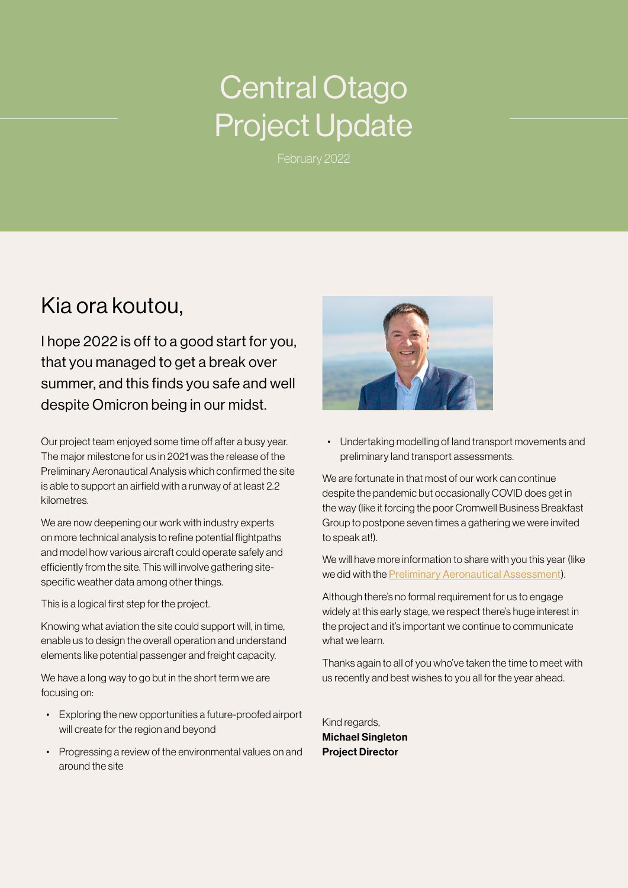# Central Otago Project Update

February 2022

## Kia ora koutou,

I hope 2022 is off to a good start for you, that you managed to get a break over summer, and this finds you safe and well despite Omicron being in our midst.

Our project team enjoyed some time off after a busy year. The major milestone for us in 2021 was the release of the Preliminary Aeronautical Analysis which confirmed the site is able to support an airfield with a runway of at least 2.2 kilometres.

We are now deepening our work with industry experts on more technical analysis to refine potential flightpaths and model how various aircraft could operate safely and efficiently from the site. This will involve gathering sitespecific weather data among other things.

This is a logical first step for the project.

Knowing what aviation the site could support will, in time, enable us to design the overall operation and understand elements like potential passenger and freight capacity.

We have a long way to go but in the short term we are focusing on:

- Exploring the new opportunities a future-proofed airport will create for the region and beyond
- Progressing a review of the environmental values on and around the site



• Undertaking modelling of land transport movements and preliminary land transport assessments.

We are fortunate in that most of our work can continue despite the pandemic but occasionally COVID does get in the way (like it forcing the poor Cromwell Business Breakfast Group to postpone seven times a gathering we were invited to speak at!).

We will have more information to share with you this year (like we did with the [Preliminary Aeronautical Assessment](https://www.centralotagoairport.co.nz/uploads/images/FA-CIAL-Prelimary-Aeronautical-Assessment-Digital.pdf)).

Although there's no formal requirement for us to engage widely at this early stage, we respect there's huge interest in the project and it's important we continue to communicate what we learn.

Thanks again to all of you who've taken the time to meet with us recently and best wishes to you all for the year ahead.

Kind regards, Michael Singleton Project Director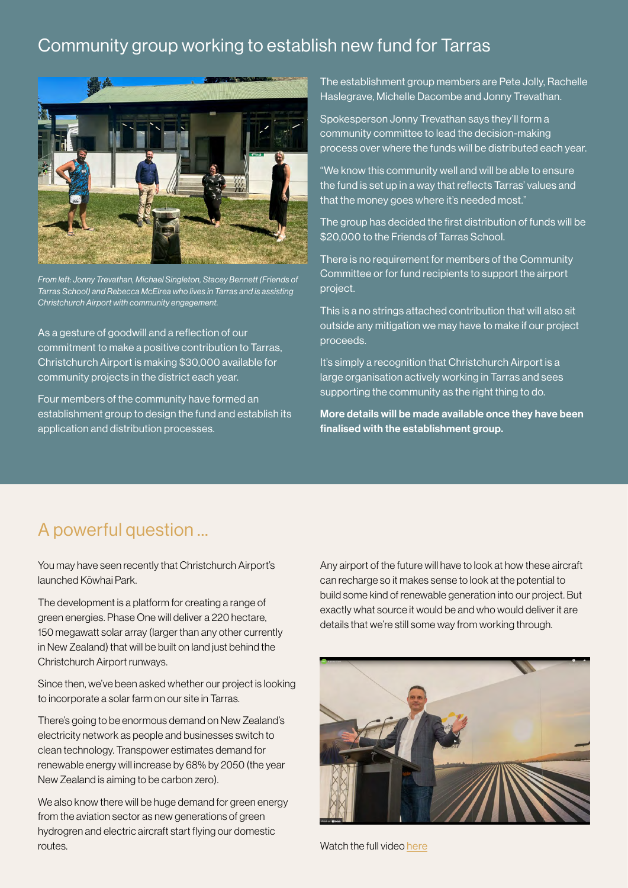#### Community group working to establish new fund for Tarras



*From left: Jonny Trevathan, Michael Singleton, Stacey Bennett (Friends of Tarras School) and Rebecca McElrea who lives in Tarras and is assisting Christchurch Airport with community engagement.*

As a gesture of goodwill and a reflection of our commitment to make a positive contribution to Tarras, Christchurch Airport is making \$30,000 available for community projects in the district each year.

Four members of the community have formed an establishment group to design the fund and establish its application and distribution processes.

The establishment group members are Pete Jolly, Rachelle Haslegrave, Michelle Dacombe and Jonny Trevathan.

Spokesperson Jonny Trevathan says they'll form a community committee to lead the decision-making process over where the funds will be distributed each year.

"We know this community well and will be able to ensure the fund is set up in a way that reflects Tarras' values and that the money goes where it's needed most."

The group has decided the first distribution of funds will be \$20,000 to the Friends of Tarras School.

There is no requirement for members of the Community Committee or for fund recipients to support the airport project.

This is a no strings attached contribution that will also sit outside any mitigation we may have to make if our project proceeds.

It's simply a recognition that Christchurch Airport is a large organisation actively working in Tarras and sees supporting the community as the right thing to do.

More details will be made available once they have been finalised with the establishment group.

#### A powerful question …

You may have seen recently that Christchurch Airport's launched Kōwhai Park.

The development is a platform for creating a range of green energies. Phase One will deliver a 220 hectare, 150 megawatt solar array (larger than any other currently in New Zealand) that will be built on land just behind the Christchurch Airport runways.

Since then, we've been asked whether our project is looking to incorporate a solar farm on our site in Tarras.

There's going to be enormous demand on New Zealand's electricity network as people and businesses switch to clean technology. Transpower estimates demand for renewable energy will increase by 68% by 2050 (the year New Zealand is aiming to be carbon zero).

We also know there will be huge demand for green energy from the aviation sector as new generations of green hydrogren and electric aircraft start flying our domestic routes.

Any airport of the future will have to look at how these aircraft can recharge so it makes sense to look at the potential to build some kind of renewable generation into our project. But exactly what source it would be and who would deliver it are details that we're still some way from working through.



Watch the full video [here](https://www.youtube.com/embed/tOcpYysIgqg)